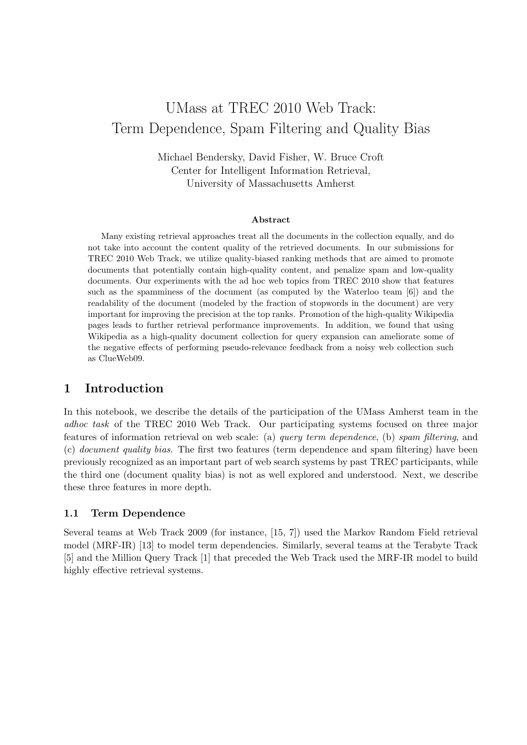# UMass at TREC 2010 Web Track: Term Dependence, Spam Filtering and Quality Bias

Michael Bendersky, David Fisher, W. Bruce Croft Center for Intelligent Information Retrieval, University of Massachusetts Amherst

#### **Abstract**

Many existing retrieval approaches treat all the documents in the collection equally, and do not take into account the content quality of the retrieved documents. In our submissions for TREC 2010 Web Track, we utilize quality-biased ranking methods that are aimed to promote documents that potentially contain high-quality content, and penalize spam and low-quality documents. Our experiments with the ad hoc web topics from TREC 2010 show that features such as the spamminess of the document (as computed by the Waterloo team [6]) and the readability of the document (modeled by the fraction of stopwords in the document) are very important for improving the precision at the top ranks. Promotion of the high-quality Wikipedia pages leads to further retrieval performance improvements. In addition, we found that using Wikipedia as a high-quality document collection for query expansion can ameliorate some of the negative effects of performing pseudo-relevance feedback from a noisy web collection such as ClueWeb09.

## **1 Introduction**

In this notebook, we describe the details of the participation of the UMass Amherst team in the *adhoc task* of the TREC 2010 Web Track. Our participating systems focused on three major features of information retrieval on web scale: (a) *query term dependence*, (b) *spam filtering*, and (c) *document quality bias*. The first two features (term dependence and spam filtering) have been previously recognized as an important part of web search systems by past TREC participants, while the third one (document quality bias) is not as well explored and understood. Next, we describe these three features in more depth.

#### **1.1 Term Dependence**

Several teams at Web Track 2009 (for instance, [15, 7]) used the Markov Random Field retrieval model (MRF-IR) [13] to model term dependencies. Similarly, several teams at the Terabyte Track [5] and the Million Query Track [1] that preceded the Web Track used the MRF-IR model to build highly effective retrieval systems.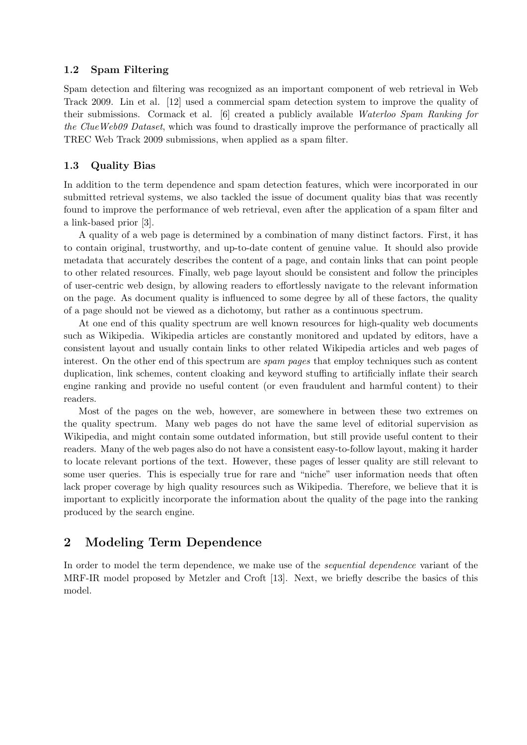## **1.2 Spam Filtering**

Spam detection and filtering was recognized as an important component of web retrieval in Web Track 2009. Lin et al. [12] used a commercial spam detection system to improve the quality of their submissions. Cormack et al. [6] created a publicly available *Waterloo Spam Ranking for the ClueWeb09 Dataset*, which was found to drastically improve the performance of practically all TREC Web Track 2009 submissions, when applied as a spam filter.

#### **1.3 Quality Bias**

In addition to the term dependence and spam detection features, which were incorporated in our submitted retrieval systems, we also tackled the issue of document quality bias that was recently found to improve the performance of web retrieval, even after the application of a spam filter and a link-based prior [3].

A quality of a web page is determined by a combination of many distinct factors. First, it has to contain original, trustworthy, and up-to-date content of genuine value. It should also provide metadata that accurately describes the content of a page, and contain links that can point people to other related resources. Finally, web page layout should be consistent and follow the principles of user-centric web design, by allowing readers to effortlessly navigate to the relevant information on the page. As document quality is influenced to some degree by all of these factors, the quality of a page should not be viewed as a dichotomy, but rather as a continuous spectrum.

At one end of this quality spectrum are well known resources for high-quality web documents such as Wikipedia. Wikipedia articles are constantly monitored and updated by editors, have a consistent layout and usually contain links to other related Wikipedia articles and web pages of interest. On the other end of this spectrum are *spam pages* that employ techniques such as content duplication, link schemes, content cloaking and keyword stuffing to artificially inflate their search engine ranking and provide no useful content (or even fraudulent and harmful content) to their readers.

Most of the pages on the web, however, are somewhere in between these two extremes on the quality spectrum. Many web pages do not have the same level of editorial supervision as Wikipedia, and might contain some outdated information, but still provide useful content to their readers. Many of the web pages also do not have a consistent easy-to-follow layout, making it harder to locate relevant portions of the text. However, these pages of lesser quality are still relevant to some user queries. This is especially true for rare and "niche" user information needs that often lack proper coverage by high quality resources such as Wikipedia. Therefore, we believe that it is important to explicitly incorporate the information about the quality of the page into the ranking produced by the search engine.

## **2 Modeling Term Dependence**

In order to model the term dependence, we make use of the *sequential dependence* variant of the MRF-IR model proposed by Metzler and Croft [13]. Next, we briefly describe the basics of this model.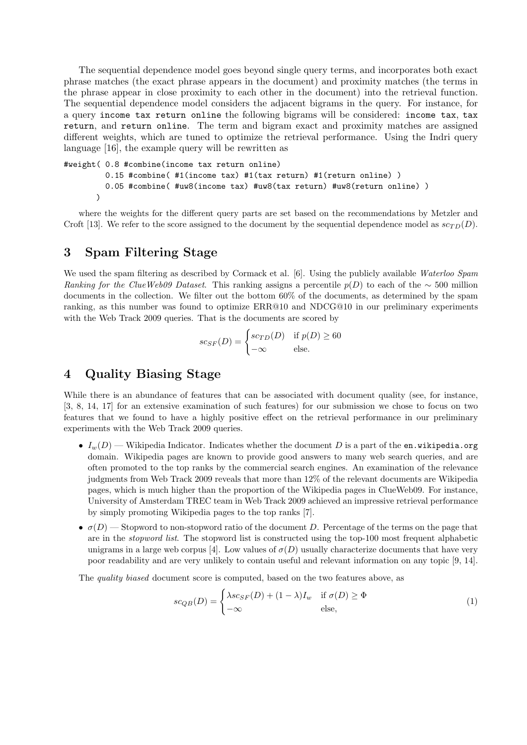The sequential dependence model goes beyond single query terms, and incorporates both exact phrase matches (the exact phrase appears in the document) and proximity matches (the terms in the phrase appear in close proximity to each other in the document) into the retrieval function. The sequential dependence model considers the adjacent bigrams in the query. For instance, for a query income tax return online the following bigrams will be considered: income tax, tax return, and return online. The term and bigram exact and proximity matches are assigned different weights, which are tuned to optimize the retrieval performance. Using the Indri query language [16], the example query will be rewritten as

```
#weight( 0.8 #combine(income tax return online)
         0.15 #combine( #1(income tax) #1(tax return) #1(return online) )
         0.05 #combine( #uw8(income tax) #uw8(tax return) #uw8(return online) )
       )
```
where the weights for the different query parts are set based on the recommendations by Metzler and Croft [13]. We refer to the score assigned to the document by the sequential dependence model as  $sc_{TD}(D)$ .

## **3 Spam Filtering Stage**

We used the spam filtering as described by Cormack et al. [6]. Using the publicly available *Waterloo Spam Ranking for the ClueWeb09 Dataset.* This ranking assigns a percentile  $p(D)$  to each of the  $\sim$  500 million documents in the collection. We filter out the bottom 60% of the documents, as determined by the spam ranking, as this number was found to optimize ERR@10 and NDCG@10 in our preliminary experiments with the Web Track 2009 queries. That is the documents are scored by

$$
sc_{SF}(D) = \begin{cases} sc_{TD}(D) & \text{if } p(D) \ge 60\\ -\infty & \text{else.} \end{cases}
$$

# **4 Quality Biasing Stage**

While there is an abundance of features that can be associated with document quality (see, for instance, [3, 8, 14, 17] for an extensive examination of such features) for our submission we chose to focus on two features that we found to have a highly positive effect on the retrieval performance in our preliminary experiments with the Web Track 2009 queries.

- $I_w(D)$  Wikipedia Indicator. Indicates whether the document *D* is a part of the en.wikipedia.org domain. Wikipedia pages are known to provide good answers to many web search queries, and are often promoted to the top ranks by the commercial search engines. An examination of the relevance judgments from Web Track 2009 reveals that more than 12% of the relevant documents are Wikipedia pages, which is much higher than the proportion of the Wikipedia pages in ClueWeb09. For instance, University of Amsterdam TREC team in Web Track 2009 achieved an impressive retrieval performance by simply promoting Wikipedia pages to the top ranks [7].
- $\bullet$   $\sigma(D)$  Stopword to non-stopword ratio of the document *D*. Percentage of the terms on the page that are in the *stopword list*. The stopword list is constructed using the top-100 most frequent alphabetic unigrams in a large web corpus [4]. Low values of  $\sigma(D)$  usually characterize documents that have very poor readability and are very unlikely to contain useful and relevant information on any topic [9, 14].

The *quality biased* document score is computed, based on the two features above, as

$$
sc_{QB}(D) = \begin{cases} \lambda sc_{SF}(D) + (1 - \lambda)I_w & \text{if } \sigma(D) \ge \Phi \\ -\infty & \text{else,} \end{cases}
$$
(1)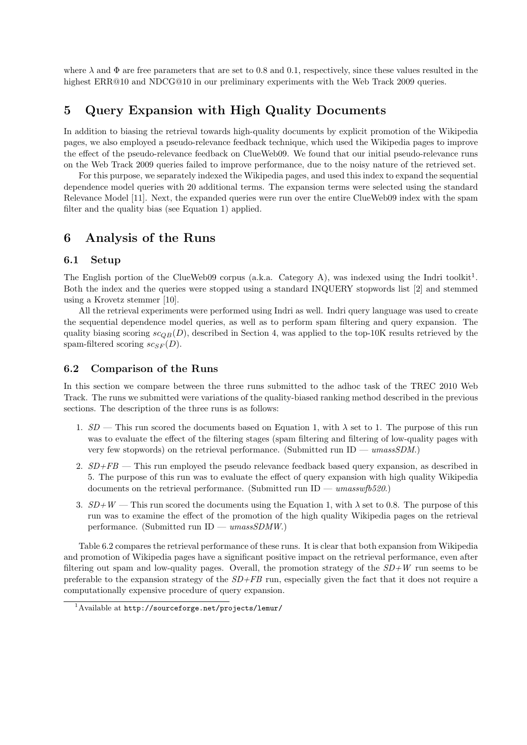where  $\lambda$  and  $\Phi$  are free parameters that are set to 0.8 and 0.1, respectively, since these values resulted in the highest ERR@10 and NDCG@10 in our preliminary experiments with the Web Track 2009 queries.

# **5 Query Expansion with High Quality Documents**

In addition to biasing the retrieval towards high-quality documents by explicit promotion of the Wikipedia pages, we also employed a pseudo-relevance feedback technique, which used the Wikipedia pages to improve the effect of the pseudo-relevance feedback on ClueWeb09. We found that our initial pseudo-relevance runs on the Web Track 2009 queries failed to improve performance, due to the noisy nature of the retrieved set.

For this purpose, we separately indexed the Wikipedia pages, and used this index to expand the sequential dependence model queries with 20 additional terms. The expansion terms were selected using the standard Relevance Model [11]. Next, the expanded queries were run over the entire ClueWeb09 index with the spam filter and the quality bias (see Equation 1) applied.

## **6 Analysis of the Runs**

## **6.1 Setup**

The English portion of the ClueWeb09 corpus (a.k.a. Category A), was indexed using the Indri toolkit<sup>1</sup>. Both the index and the queries were stopped using a standard INQUERY stopwords list [2] and stemmed using a Krovetz stemmer [10].

All the retrieval experiments were performed using Indri as well. Indri query language was used to create the sequential dependence model queries, as well as to perform spam filtering and query expansion. The quality biasing scoring  $sc_{QB}(D)$ , described in Section 4, was applied to the top-10K results retrieved by the spam-filtered scoring  $sc_{SF}(D)$ .

#### **6.2 Comparison of the Runs**

In this section we compare between the three runs submitted to the adhoc task of the TREC 2010 Web Track. The runs we submitted were variations of the quality-biased ranking method described in the previous sections. The description of the three runs is as follows:

- 1.  $SD$  This run scored the documents based on Equation 1, with  $\lambda$  set to 1. The purpose of this run was to evaluate the effect of the filtering stages (spam filtering and filtering of low-quality pages with very few stopwords) on the retrieval performance. (Submitted run ID — *umassSDM*.)
- 2. *SD+FB* This run employed the pseudo relevance feedback based query expansion, as described in 5. The purpose of this run was to evaluate the effect of query expansion with high quality Wikipedia documents on the retrieval performance. (Submitted run ID — *umasswfb520*.)
- 3. *SD+W* This run scored the documents using the Equation 1, with *λ* set to 0*.*8. The purpose of this run was to examine the effect of the promotion of the high quality Wikipedia pages on the retrieval performance. (Submitted run ID — *umassSDMW*.)

Table 6.2 compares the retrieval performance of these runs. It is clear that both expansion from Wikipedia and promotion of Wikipedia pages have a significant positive impact on the retrieval performance, even after filtering out spam and low-quality pages. Overall, the promotion strategy of the *SD+W* run seems to be preferable to the expansion strategy of the *SD+FB* run, especially given the fact that it does not require a computationally expensive procedure of query expansion.

<sup>1</sup>Available at http://sourceforge.net/projects/lemur/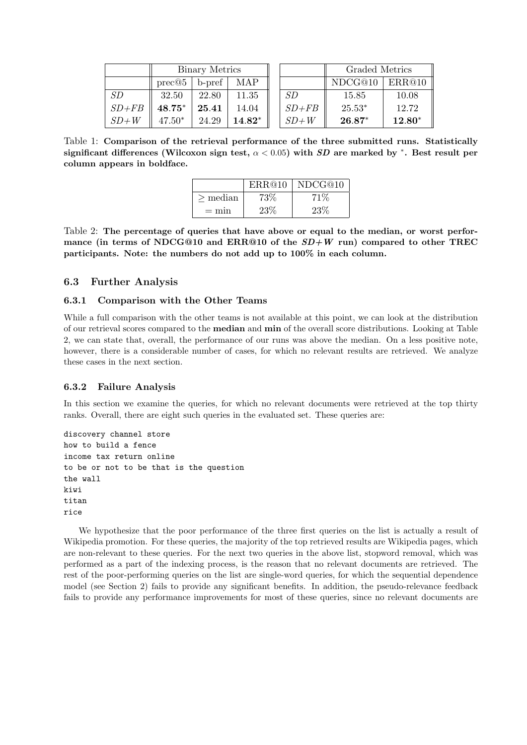|           | <b>Binary Metrics</b> |        |          |         | Graded Metrics |          |
|-----------|-----------------------|--------|----------|---------|----------------|----------|
|           | prec@5                | b-pref | MAP      |         | NDCG@10        | ERR@10   |
| SD        | 32.50                 | 22.80  | 11.35    | SD      | 15.85          | 10.08    |
| $SD + FB$ | $48.75*$              | 25.41  | 14.04    | $SD+FB$ | $25.53*$       | 12.72    |
| $SD+W$    | $47.50*$              | 24.29  | $14.82*$ | $SD+W$  | $26.87*$       | $12.80*$ |

Table 1: **Comparison of the retrieval performance of the three submitted runs. Statistically significant differences (Wilcoxon sign test,** *α <* 0*.*05**) with** *SD* **are marked by** *<sup>∗</sup>* **. Best result per column appears in boldface.**

|               | ERR@10 | NDCG@10 |
|---------------|--------|---------|
| $\geq$ median | 73%    | 71%     |
| $=$ min       | 23%    | 23%     |

Table 2: **The percentage of queries that have above or equal to the median, or worst performance (in terms of NDCG@10 and ERR@10 of the** *SD+W* **run) compared to other TREC participants. Note: the numbers do not add up to 100% in each column.**

## **6.3 Further Analysis**

#### **6.3.1 Comparison with the Other Teams**

While a full comparison with the other teams is not available at this point, we can look at the distribution of our retrieval scores compared to the **median** and **min** of the overall score distributions. Looking at Table 2, we can state that, overall, the performance of our runs was above the median. On a less positive note, however, there is a considerable number of cases, for which no relevant results are retrieved. We analyze these cases in the next section.

#### **6.3.2 Failure Analysis**

In this section we examine the queries, for which no relevant documents were retrieved at the top thirty ranks. Overall, there are eight such queries in the evaluated set. These queries are:

```
discovery channel store
how to build a fence
income tax return online
to be or not to be that is the question
the wall
kiwi
titan
rice
```
We hypothesize that the poor performance of the three first queries on the list is actually a result of Wikipedia promotion. For these queries, the majority of the top retrieved results are Wikipedia pages, which are non-relevant to these queries. For the next two queries in the above list, stopword removal, which was performed as a part of the indexing process, is the reason that no relevant documents are retrieved. The rest of the poor-performing queries on the list are single-word queries, for which the sequential dependence model (see Section 2) fails to provide any significant benefits. In addition, the pseudo-relevance feedback fails to provide any performance improvements for most of these queries, since no relevant documents are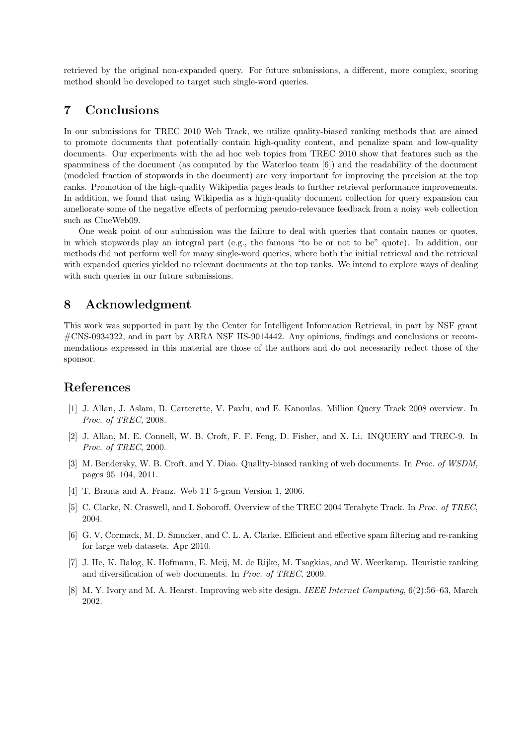retrieved by the original non-expanded query. For future submissions, a different, more complex, scoring method should be developed to target such single-word queries.

## **7 Conclusions**

In our submissions for TREC 2010 Web Track, we utilize quality-biased ranking methods that are aimed to promote documents that potentially contain high-quality content, and penalize spam and low-quality documents. Our experiments with the ad hoc web topics from TREC 2010 show that features such as the spamminess of the document (as computed by the Waterloo team [6]) and the readability of the document (modeled fraction of stopwords in the document) are very important for improving the precision at the top ranks. Promotion of the high-quality Wikipedia pages leads to further retrieval performance improvements. In addition, we found that using Wikipedia as a high-quality document collection for query expansion can ameliorate some of the negative effects of performing pseudo-relevance feedback from a noisy web collection such as ClueWeb09.

One weak point of our submission was the failure to deal with queries that contain names or quotes, in which stopwords play an integral part (e.g., the famous "to be or not to be" quote). In addition, our methods did not perform well for many single-word queries, where both the initial retrieval and the retrieval with expanded queries yielded no relevant documents at the top ranks. We intend to explore ways of dealing with such queries in our future submissions.

## **8 Acknowledgment**

This work was supported in part by the Center for Intelligent Information Retrieval, in part by NSF grant #CNS-0934322, and in part by ARRA NSF IIS-9014442. Any opinions, findings and conclusions or recommendations expressed in this material are those of the authors and do not necessarily reflect those of the sponsor.

## **References**

- [1] J. Allan, J. Aslam, B. Carterette, V. Pavlu, and E. Kanoulas. Million Query Track 2008 overview. In *Proc. of TREC*, 2008.
- [2] J. Allan, M. E. Connell, W. B. Croft, F. F. Feng, D. Fisher, and X. Li. INQUERY and TREC-9. In *Proc. of TREC*, 2000.
- [3] M. Bendersky, W. B. Croft, and Y. Diao. Quality-biased ranking of web documents. In *Proc. of WSDM*, pages 95–104, 2011.
- [4] T. Brants and A. Franz. Web 1T 5-gram Version 1, 2006.
- [5] C. Clarke, N. Craswell, and I. Soboroff. Overview of the TREC 2004 Terabyte Track. In *Proc. of TREC*, 2004.
- [6] G. V. Cormack, M. D. Smucker, and C. L. A. Clarke. Efficient and effective spam filtering and re-ranking for large web datasets. Apr 2010.
- [7] J. He, K. Balog, K. Hofmann, E. Meij, M. de Rijke, M. Tsagkias, and W. Weerkamp. Heuristic ranking and diversification of web documents. In *Proc. of TREC*, 2009.
- [8] M. Y. Ivory and M. A. Hearst. Improving web site design. *IEEE Internet Computing*, 6(2):56–63, March 2002.